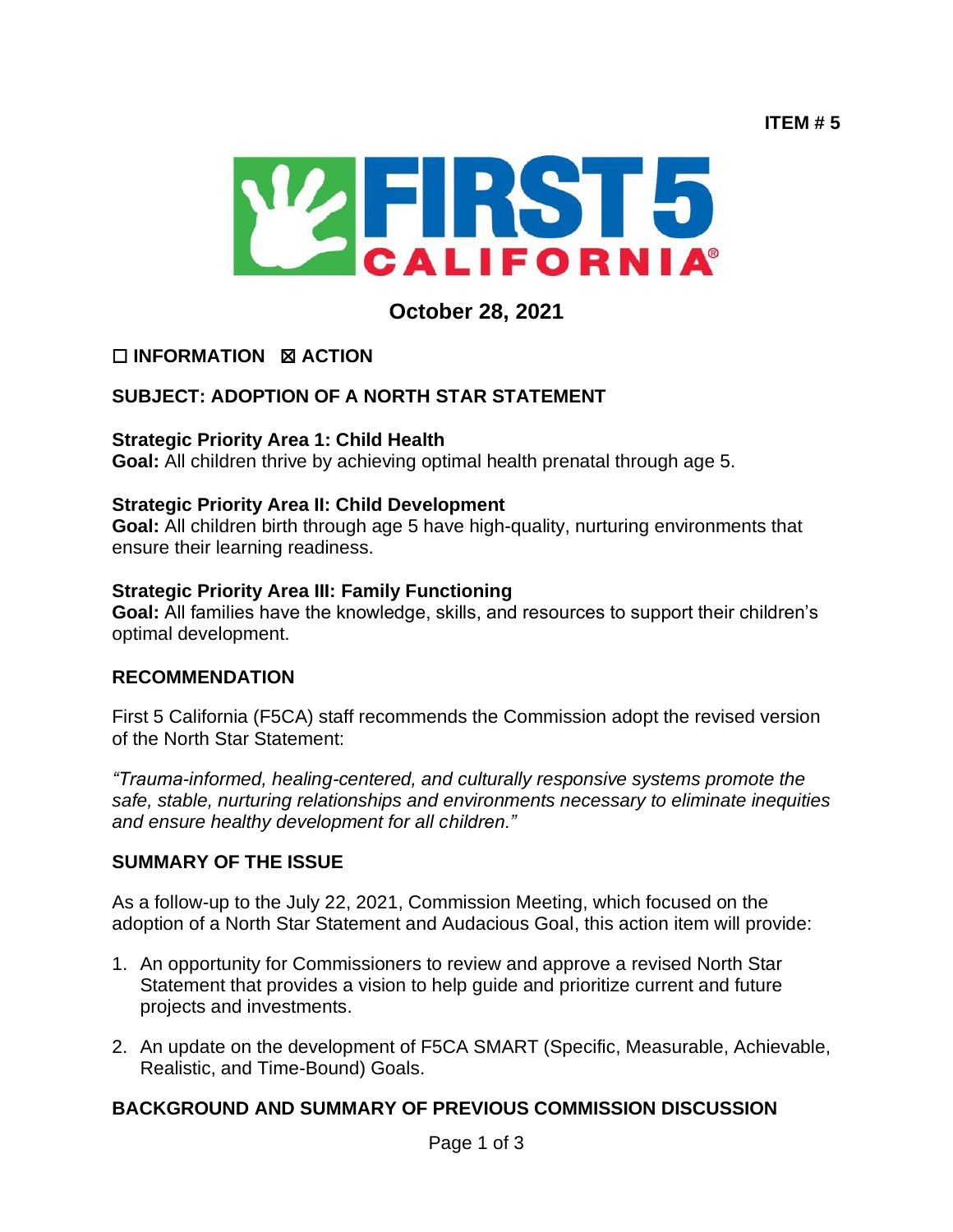**ITEM # 5**



**October 28, 2021**

# ☐ **INFORMATION** ☒ **ACTION**

# **SUBJECT: ADOPTION OF A NORTH STAR STATEMENT**

#### **Strategic Priority Area 1: Child Health**

**Goal:** All children thrive by achieving optimal health prenatal through age 5.

#### **Strategic Priority Area II: Child Development**

**Goal:** All children birth through age 5 have high-quality, nurturing environments that ensure their learning readiness.

#### **Strategic Priority Area III: Family Functioning**

**Goal:** All families have the knowledge, skills, and resources to support their children's optimal development.

## **RECOMMENDATION**

First 5 California (F5CA) staff recommends the Commission adopt the revised version of the North Star Statement:

*"Trauma-informed, healing-centered, and culturally responsive systems promote the safe, stable, nurturing relationships and environments necessary to eliminate inequities and ensure healthy development for all children."*

## **SUMMARY OF THE ISSUE**

As a follow-up to the July 22, 2021, Commission Meeting, which focused on the adoption of a North Star Statement and Audacious Goal, this action item will provide:

- 1. An opportunity for Commissioners to review and approve a revised North Star Statement that provides a vision to help guide and prioritize current and future projects and investments.
- 2. An update on the development of F5CA SMART (Specific, Measurable, Achievable, Realistic, and Time-Bound) Goals.

## **BACKGROUND AND SUMMARY OF PREVIOUS COMMISSION DISCUSSION**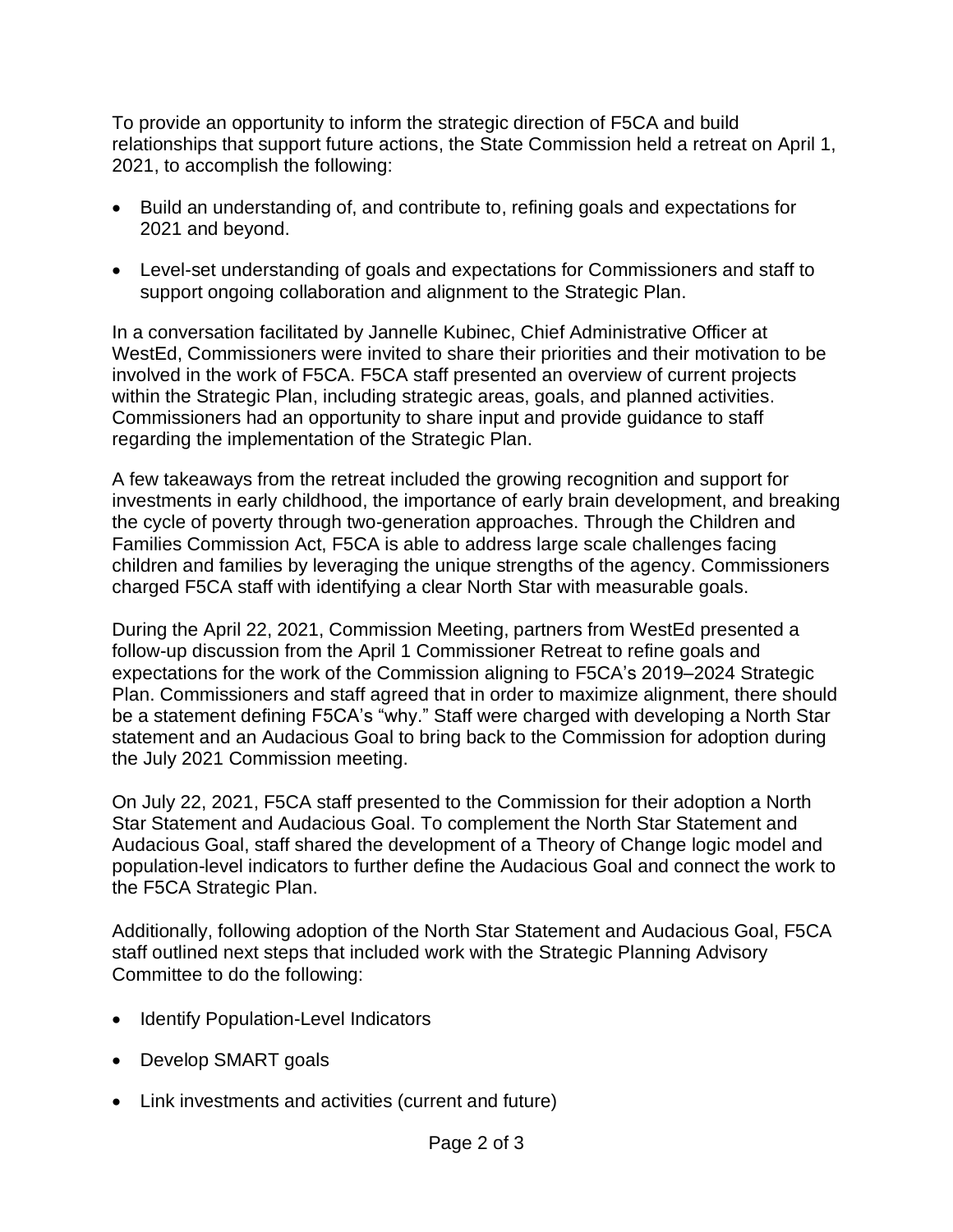To provide an opportunity to inform the strategic direction of F5CA and build relationships that support future actions, the State Commission held a retreat on April 1, 2021, to accomplish the following:

- Build an understanding of, and contribute to, refining goals and expectations for 2021 and beyond.
- Level-set understanding of goals and expectations for Commissioners and staff to support ongoing collaboration and alignment to the Strategic Plan.

In a conversation facilitated by Jannelle Kubinec, Chief Administrative Officer at WestEd, Commissioners were invited to share their priorities and their motivation to be involved in the work of F5CA. F5CA staff presented an overview of current projects within the Strategic Plan, including strategic areas, goals, and planned activities. Commissioners had an opportunity to share input and provide guidance to staff regarding the implementation of the Strategic Plan.

A few takeaways from the retreat included the growing recognition and support for investments in early childhood, the importance of early brain development, and breaking the cycle of poverty through two-generation approaches. Through the Children and Families Commission Act, F5CA is able to address large scale challenges facing children and families by leveraging the unique strengths of the agency. Commissioners charged F5CA staff with identifying a clear North Star with measurable goals.

During the April 22, 2021, Commission Meeting, partners from WestEd presented a follow-up discussion from the April 1 Commissioner Retreat to refine goals and expectations for the work of the Commission aligning to F5CA's 2019–2024 Strategic Plan. Commissioners and staff agreed that in order to maximize alignment, there should be a statement defining F5CA's "why." Staff were charged with developing a North Star statement and an Audacious Goal to bring back to the Commission for adoption during the July 2021 Commission meeting.

On July 22, 2021, F5CA staff presented to the Commission for their adoption a North Star Statement and Audacious Goal. To complement the North Star Statement and Audacious Goal, staff shared the development of a Theory of Change logic model and population-level indicators to further define the Audacious Goal and connect the work to the F5CA Strategic Plan.

Additionally, following adoption of the North Star Statement and Audacious Goal, F5CA staff outlined next steps that included work with the Strategic Planning Advisory Committee to do the following:

- Identify Population-Level Indicators
- Develop SMART goals
- Link investments and activities (current and future)